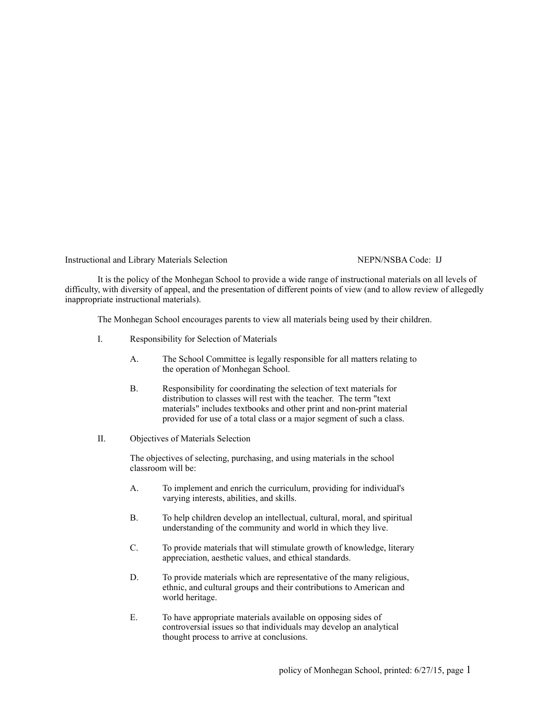Instructional and Library Materials Selection NEPN/NSBA Code: IJ

It is the policy of the Monhegan School to provide a wide range of instructional materials on all levels of difficulty, with diversity of appeal, and the presentation of different points of view (and to allow review of allegedly inappropriate instructional materials).

The Monhegan School encourages parents to view all materials being used by their children.

- I. Responsibility for Selection of Materials
	- A. The School Committee is legally responsible for all matters relating to the operation of Monhegan School.
	- B. Responsibility for coordinating the selection of text materials for distribution to classes will rest with the teacher. The term "text materials" includes textbooks and other print and non-print material provided for use of a total class or a major segment of such a class.
- II. Objectives of Materials Selection

The objectives of selecting, purchasing, and using materials in the school classroom will be:

- A. To implement and enrich the curriculum, providing for individual's varying interests, abilities, and skills.
- B. To help children develop an intellectual, cultural, moral, and spiritual understanding of the community and world in which they live.
- C. To provide materials that will stimulate growth of knowledge, literary appreciation, aesthetic values, and ethical standards.
- D. To provide materials which are representative of the many religious, ethnic, and cultural groups and their contributions to American and world heritage.
- E. To have appropriate materials available on opposing sides of controversial issues so that individuals may develop an analytical thought process to arrive at conclusions.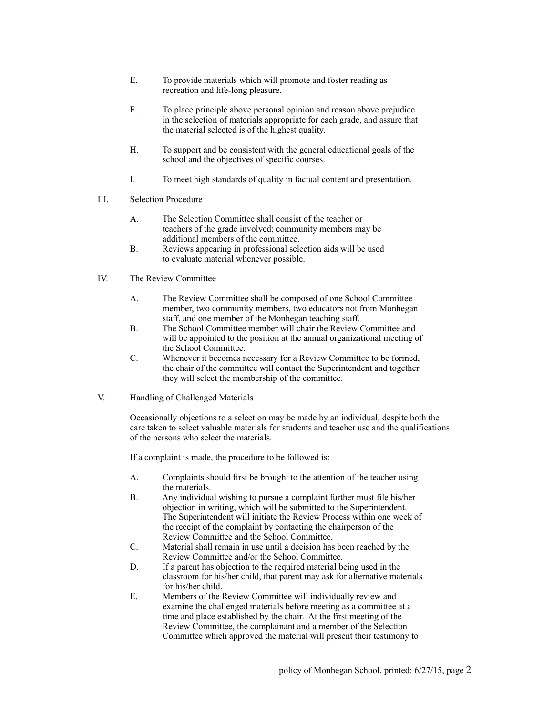- E. To provide materials which will promote and foster reading as recreation and life-long pleasure.
- F. To place principle above personal opinion and reason above prejudice in the selection of materials appropriate for each grade, and assure that the material selected is of the highest quality.
- H. To support and be consistent with the general educational goals of the school and the objectives of specific courses.
- I. To meet high standards of quality in factual content and presentation.
- III. Selection Procedure
	- A. The Selection Committee shall consist of the teacher or teachers of the grade involved; community members may be additional members of the committee.
	- B. Reviews appearing in professional selection aids will be used to evaluate material whenever possible.
- IV. The Review Committee
	- A. The Review Committee shall be composed of one School Committee member, two community members, two educators not from Monhegan staff, and one member of the Monhegan teaching staff.
	- B. The School Committee member will chair the Review Committee and will be appointed to the position at the annual organizational meeting of the School Committee.
	- C. Whenever it becomes necessary for a Review Committee to be formed, the chair of the committee will contact the Superintendent and together they will select the membership of the committee.
- V. Handling of Challenged Materials

Occasionally objections to a selection may be made by an individual, despite both the care taken to select valuable materials for students and teacher use and the qualifications of the persons who select the materials.

If a complaint is made, the procedure to be followed is:

- A. Complaints should first be brought to the attention of the teacher using the materials.
- B. Any individual wishing to pursue a complaint further must file his/her objection in writing, which will be submitted to the Superintendent. The Superintendent will initiate the Review Process within one week of the receipt of the complaint by contacting the chairperson of the Review Committee and the School Committee.
- C. Material shall remain in use until a decision has been reached by the Review Committee and/or the School Committee.
- D. If a parent has objection to the required material being used in the classroom for his/her child, that parent may ask for alternative materials for his/her child.
- E. Members of the Review Committee will individually review and examine the challenged materials before meeting as a committee at a time and place established by the chair. At the first meeting of the Review Committee, the complainant and a member of the Selection Committee which approved the material will present their testimony to